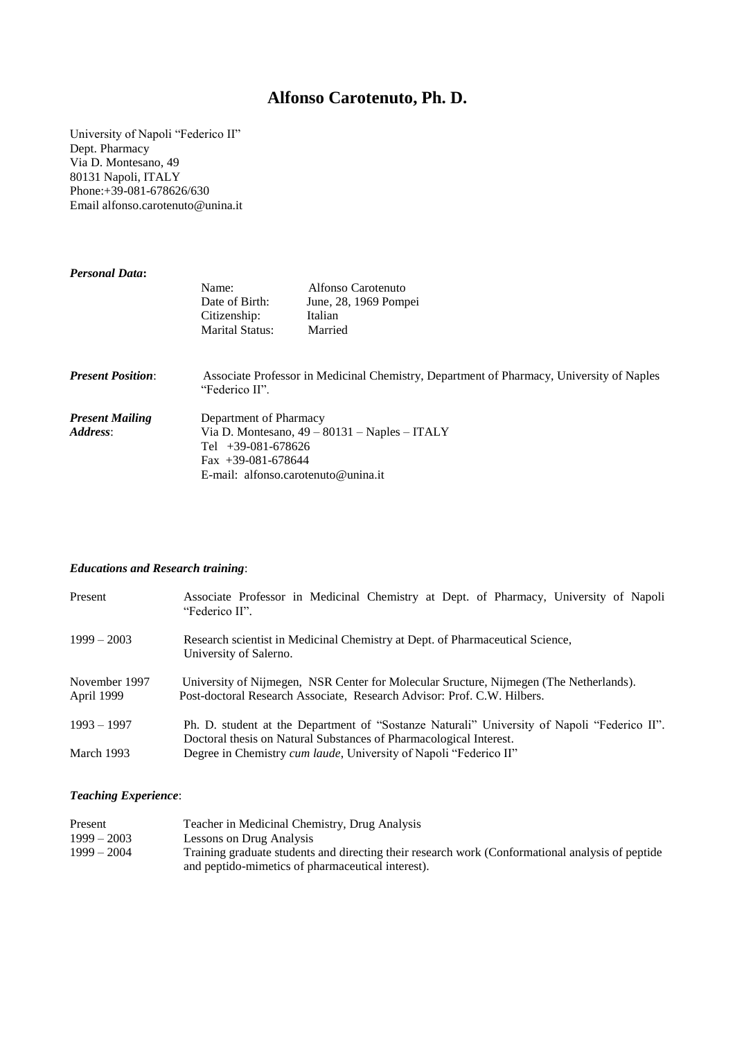## **Alfonso Carotenuto, Ph. D.**

University of Napoli "Federico II" Dept. Pharmacy Via D. Montesano, 49 80131 Napoli, ITALY Phone:+39-081-678626/630 Email alfonso.carotenuto@unina.it

| <b>Personal Data:</b>    |                                                                                                            |                       |  |
|--------------------------|------------------------------------------------------------------------------------------------------------|-----------------------|--|
|                          | Name:                                                                                                      | Alfonso Carotenuto    |  |
|                          | Date of Birth:                                                                                             | June, 28, 1969 Pompei |  |
|                          | Citizenship:                                                                                               | Italian               |  |
|                          | <b>Marital Status:</b>                                                                                     | Married               |  |
| <b>Present Position:</b> | Associate Professor in Medicinal Chemistry, Department of Pharmacy, University of Naples<br>"Federico II". |                       |  |
| <b>Present Mailing</b>   | Department of Pharmacy                                                                                     |                       |  |
| Address:                 | Via D. Montesano, $49 - 80131 -$ Naples - ITALY                                                            |                       |  |
|                          | Tel $+39-081-678626$                                                                                       |                       |  |
|                          | $\text{Fax}$ +39-081-678644                                                                                |                       |  |
|                          | E-mail: alfonso.carotenuto@unina.it                                                                        |                       |  |

## *Educations and Research training*:

| Present                     | Associate Professor in Medicinal Chemistry at Dept. of Pharmacy, University of Napoli<br>"Federico II".                                                           |  |  |  |
|-----------------------------|-------------------------------------------------------------------------------------------------------------------------------------------------------------------|--|--|--|
| $1999 - 2003$               | Research scientist in Medicinal Chemistry at Dept. of Pharmaceutical Science,<br>University of Salerno.                                                           |  |  |  |
| November 1997<br>April 1999 | University of Nijmegen, NSR Center for Molecular Sructure, Nijmegen (The Netherlands).<br>Post-doctoral Research Associate, Research Advisor: Prof. C.W. Hilbers. |  |  |  |
| $1993 - 1997$               | Ph. D. student at the Department of "Sostanze Naturali" University of Napoli "Federico II".<br>Doctoral thesis on Natural Substances of Pharmacological Interest. |  |  |  |
| March 1993                  | Degree in Chemistry <i>cum laude</i> , University of Napoli "Federico II"                                                                                         |  |  |  |

## *Teaching Experience*:

| Present       | Teacher in Medicinal Chemistry, Drug Analysis                                                    |
|---------------|--------------------------------------------------------------------------------------------------|
| $1999 - 2003$ | Lessons on Drug Analysis                                                                         |
| $1999 - 2004$ | Training graduate students and directing their research work (Conformational analysis of peptide |
|               | and peptido-mimetics of pharmaceutical interest).                                                |